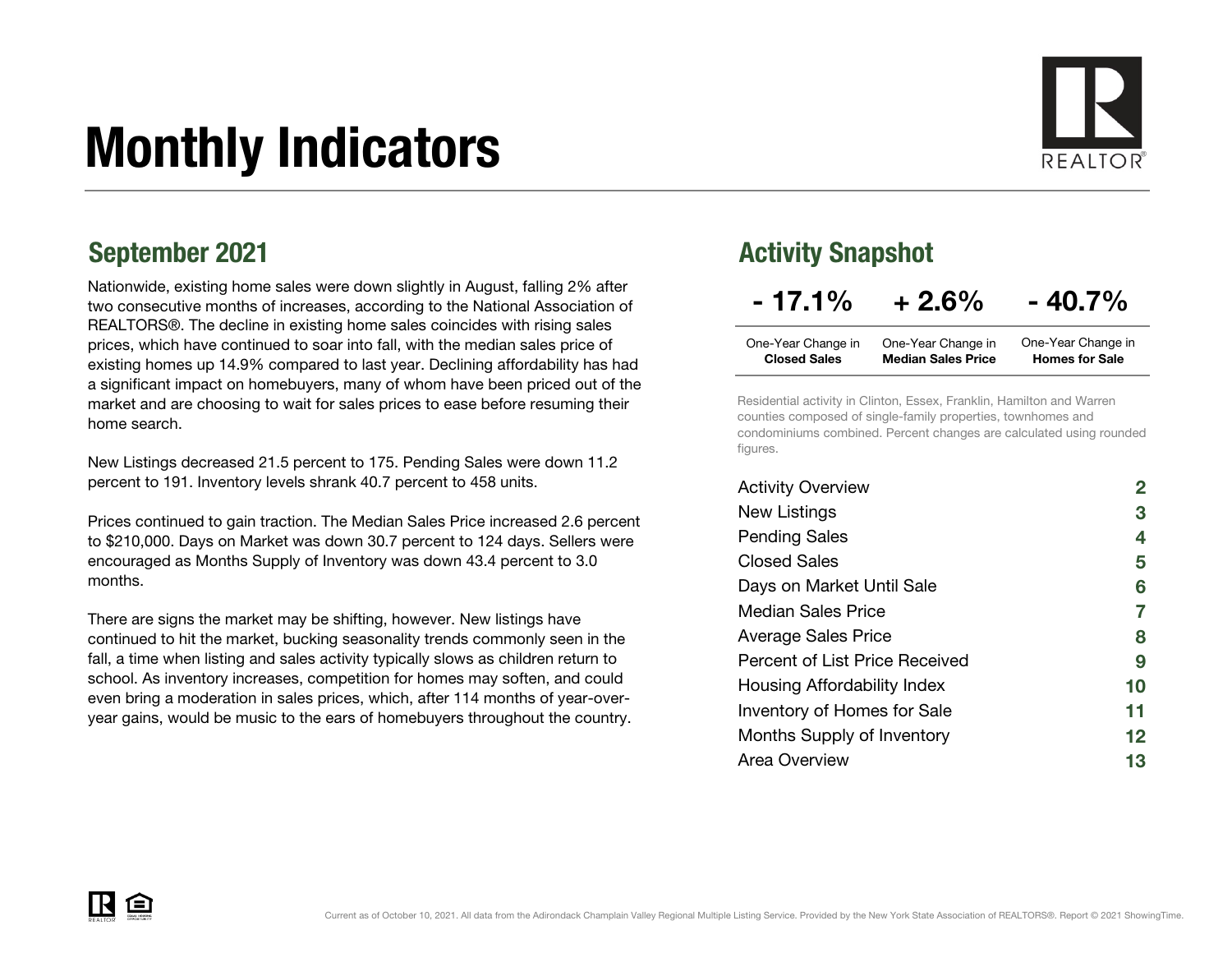# Monthly Indicators



Nationwide, existing home sales were down slightly in August, falling 2% after two consecutive months of increases, according to the National Association of REALTORS®. The decline in existing home sales coincides with rising sales prices, which have continued to soar into fall, with the median sales price of existing homes up 14.9% compared to last year. Declining affordability has had a significant impact on homebuyers, many of whom have been priced out of the market and are choosing to wait for sales prices to ease before resuming their home search.

New Listings decreased 21.5 percent to 175. Pending Sales were down 11.2 percent to 191. Inventory levels shrank 40.7 percent to 458 units.

Prices continued to gain traction. The Median Sales Price increased 2.6 percent to \$210,000. Days on Market was down 30.7 percent to 124 days. Sellers were encouraged as Months Supply of Inventory was down 43.4 percent to 3.0 months.

There are signs the market may be shifting, however. New listings have continued to hit the market, bucking seasonality trends commonly seen in the fall, a time when listing and sales activity typically slows as children return to school. As inventory increases, competition for homes may soften, and could even bring a moderation in sales prices, which, after 114 months of year-overyear gains, would be music to the ears of homebuyers throughout the country.

### September 2021 **Activity Snapshot** Activity Snapshot

|  | $-17.1%$ | $+2.6%$ | $-40.7%$ |
|--|----------|---------|----------|
|--|----------|---------|----------|

| One-Year Change in  | One-Year Change in        | One-Year Change in    |
|---------------------|---------------------------|-----------------------|
| <b>Closed Sales</b> | <b>Median Sales Price</b> | <b>Homes for Sale</b> |

Residential activity in Clinton, Essex, Franklin, Hamilton and Warren counties composed of single-family properties, townhomes and condominiums combined. Percent changes are calculated using rounded figures.

| <b>Activity Overview</b>       |                   |
|--------------------------------|-------------------|
| New Listings                   | 3                 |
| <b>Pending Sales</b>           | 4                 |
| <b>Closed Sales</b>            | 5                 |
| Days on Market Until Sale      | 6                 |
| Median Sales Price             | 7                 |
| <b>Average Sales Price</b>     | 8                 |
| Percent of List Price Received | 9                 |
| Housing Affordability Index    | 10                |
| Inventory of Homes for Sale    | 11                |
| Months Supply of Inventory     | $12 \ \mathsf{ }$ |
| Area Overview                  | 13                |

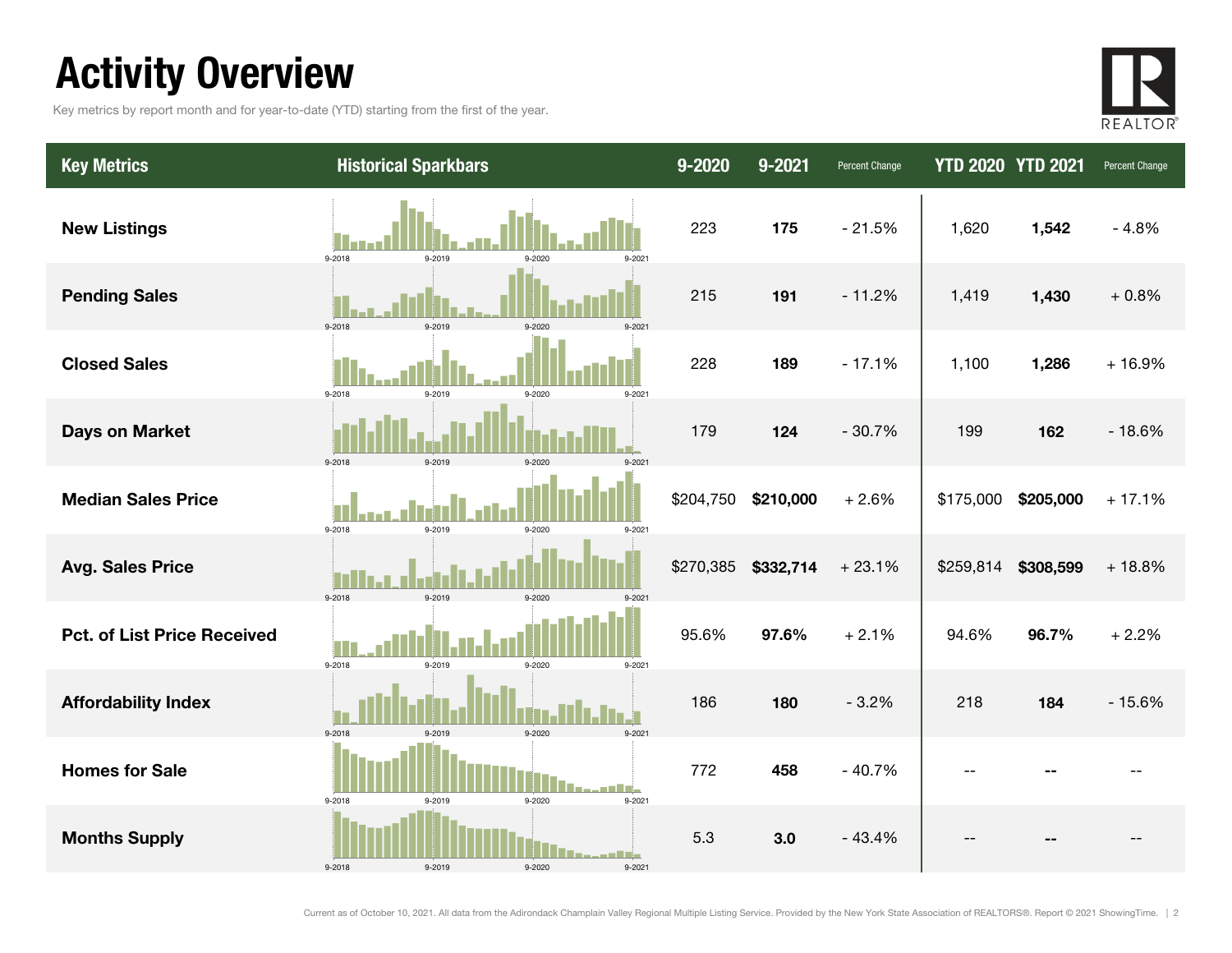### Activity Overview

Key metrics by report month and for year-to-date (YTD) starting from the first of the year.



| <b>Key Metrics</b>                 | <b>Historical Sparkbars</b>                               | $9 - 2020$ | 9-2021    | Percent Change | <b>YTD 2020 YTD 2021</b> |           | Percent Change |
|------------------------------------|-----------------------------------------------------------|------------|-----------|----------------|--------------------------|-----------|----------------|
| <b>New Listings</b>                | 9-2018<br>9-2019<br>9-2020<br>9-2021                      | 223        | 175       | $-21.5%$       | 1,620                    | 1,542     | $-4.8%$        |
| <b>Pending Sales</b>               | 9-2018<br>9-2019<br>$9 - 202$                             | 215        | 191       | $-11.2%$       | 1,419                    | 1,430     | $+0.8%$        |
| <b>Closed Sales</b>                | 9-2018<br>9-2019<br>9-2020<br>9-2021                      | 228        | 189       | $-17.1%$       | 1,100                    | 1,286     | $+16.9%$       |
| <b>Days on Market</b>              | $9 - 2018$<br>9-2019<br>9-2020                            | 179        | 124       | $-30.7%$       | 199                      | 162       | $-18.6%$       |
| <b>Median Sales Price</b>          | 9-2018<br>9-2019<br>9-2020<br>9-2021                      | \$204,750  | \$210,000 | $+2.6%$        | \$175,000                | \$205,000 | $+17.1%$       |
| <b>Avg. Sales Price</b>            | 9-2018<br>9-2019<br>9-2020                                | \$270,385  | \$332,714 | $+23.1%$       | \$259,814                | \$308,599 | $+18.8%$       |
| <b>Pct. of List Price Received</b> | 9-2018<br>9-2019<br>9-2020<br>9-2021                      | 95.6%      | 97.6%     | $+2.1%$        | 94.6%                    | 96.7%     | $+2.2%$        |
| <b>Affordability Index</b>         | 9-2018<br>9-2019<br>9-2020<br>9-2021                      | 186        | 180       | $-3.2%$        | 218                      | 184       | $-15.6%$       |
| <b>Homes for Sale</b>              | 9-2018<br>9-2019<br>9-2020<br>9-2021                      | 772        | 458       | $-40.7%$       | --                       |           |                |
| <b>Months Supply</b>               | n a Vitin<br>9-2018<br>$9 - 2019$<br>9-2020<br>$9 - 2021$ | 5.3        | 3.0       | $-43.4%$       |                          |           |                |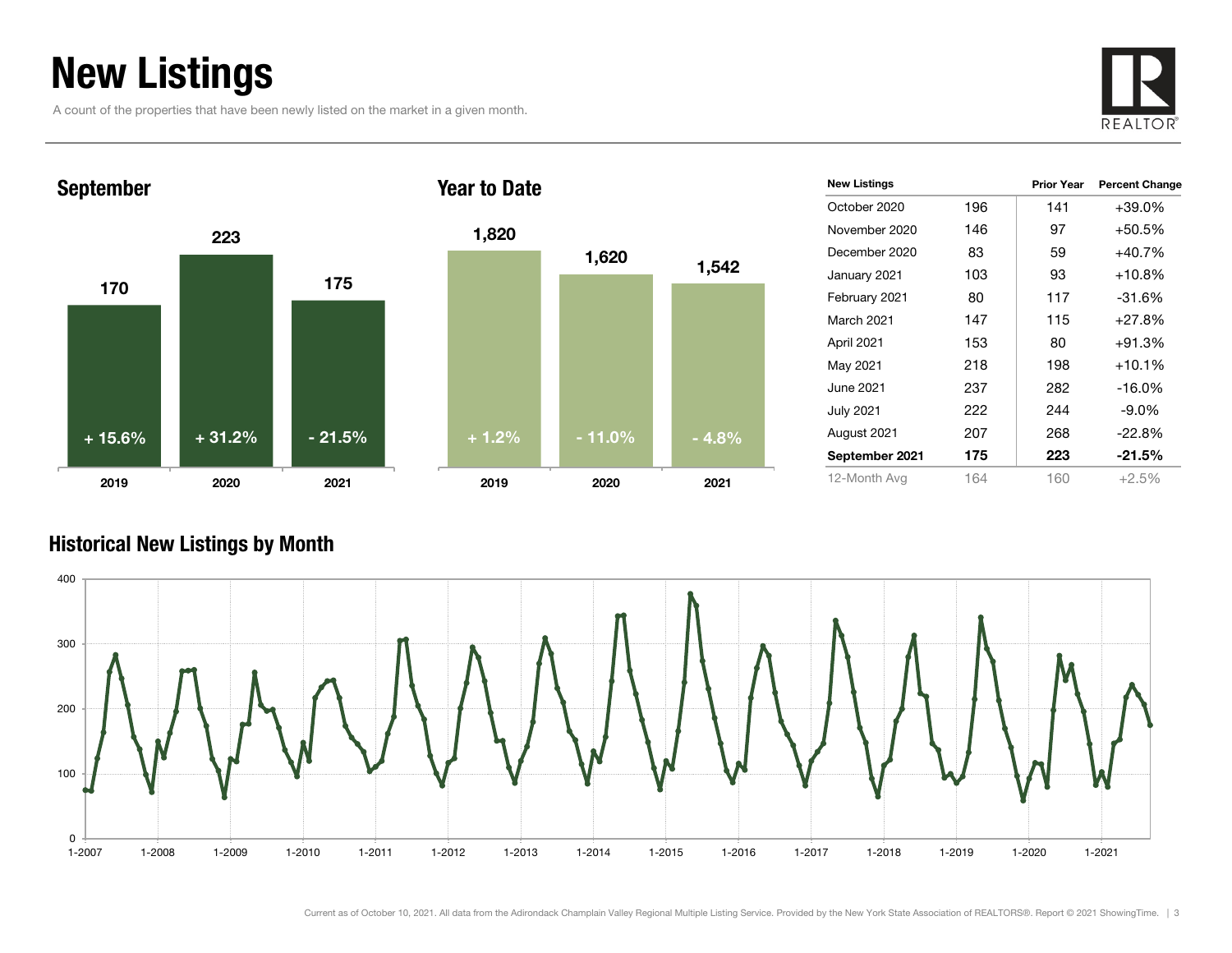### New Listings

A count of the properties that have been newly listed on the market in a given month.





| 1,820   |          |         |
|---------|----------|---------|
|         | 1,620    | 1,542   |
|         |          |         |
|         |          |         |
|         |          |         |
| $+1.2%$ | $-11.0%$ | $-4.8%$ |
| 2019    | 2020     | 2021    |

| <b>New Listings</b> |     | <b>Prior Year</b> | <b>Percent Change</b> |
|---------------------|-----|-------------------|-----------------------|
| October 2020        | 196 | 141               | $+39.0%$              |
| November 2020       | 146 | 97                | $+50.5%$              |
| December 2020       | 83  | 59                | $+40.7%$              |
| January 2021        | 103 | 93                | $+10.8%$              |
| February 2021       | 80  | 117               | $-31.6%$              |
| <b>March 2021</b>   | 147 | 115               | $+27.8%$              |
| April 2021          | 153 | 80                | $+91.3%$              |
| May 2021            | 218 | 198               | $+10.1%$              |
| June 2021           | 237 | 282               | $-16.0\%$             |
| <b>July 2021</b>    | 222 | 244               | $-9.0\%$              |
| August 2021         | 207 | 268               | $-22.8%$              |
| September 2021      | 175 | 223               | -21.5%                |
| 12-Month Avg        | 164 | 160               | $+2.5%$               |

#### Historical New Listings by Month

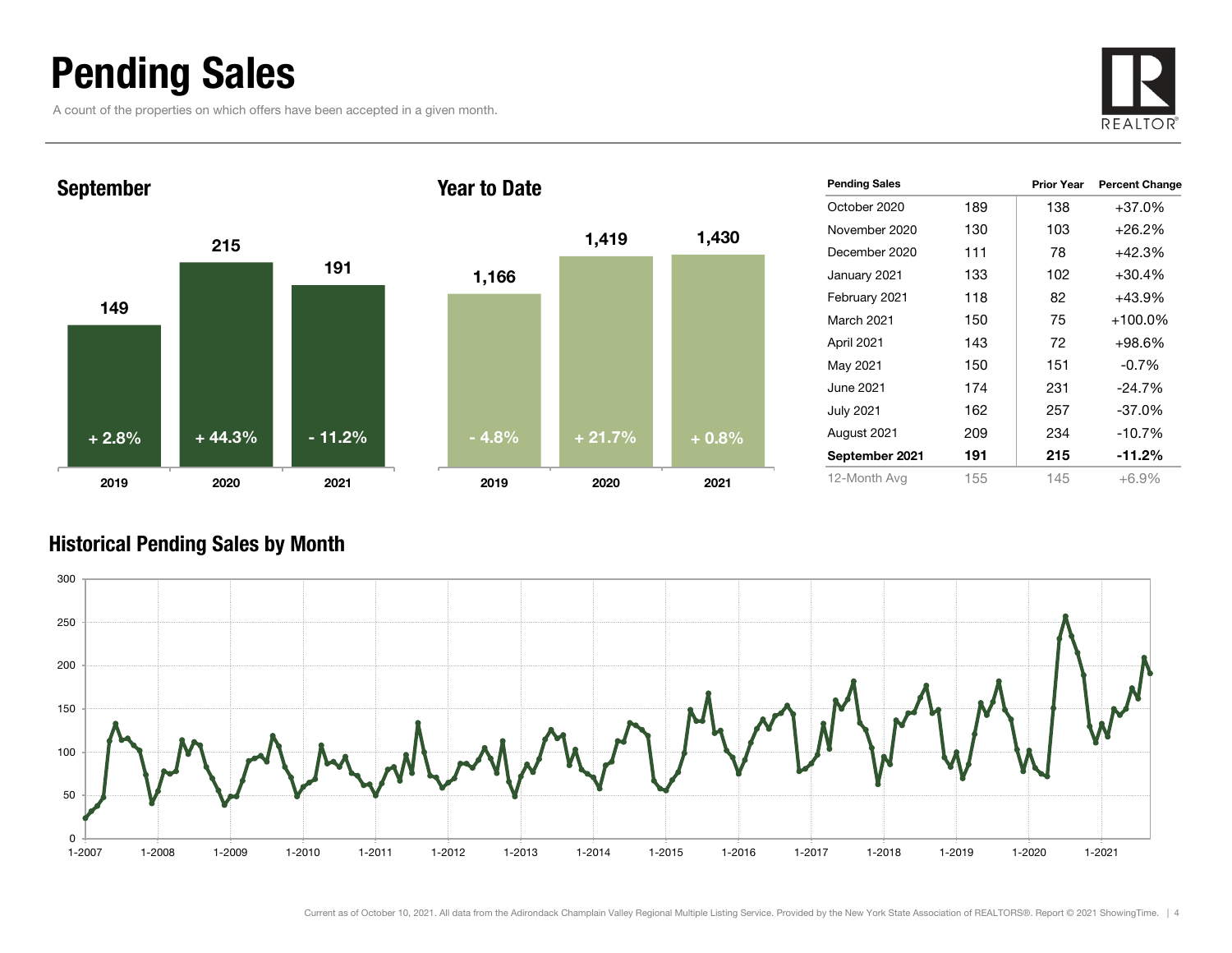### Pending Sales

A count of the properties on which offers have been accepted in a given month.





| <b>Pending Sales</b> |     | <b>Prior Year</b> | <b>Percent Change</b> |
|----------------------|-----|-------------------|-----------------------|
| October 2020         | 189 | 138               | $+37.0%$              |
| November 2020        | 130 | 103               | $+26.2%$              |
| December 2020        | 111 | 78                | $+42.3%$              |
| January 2021         | 133 | 102               | $+30.4%$              |
| February 2021        | 118 | 82                | $+43.9%$              |
| March 2021           | 150 | 75                | $+100.0\%$            |
| April 2021           | 143 | 72                | $+98.6%$              |
| May 2021             | 150 | 151               | $-0.7%$               |
| June 2021.           | 174 | 231               | $-24.7%$              |
| <b>July 2021</b>     | 162 | 257               | $-37.0\%$             |
| August 2021          | 209 | 234               | $-10.7%$              |
| September 2021       | 191 | 215               | $-11.2\%$             |
| 12-Month Avg         | 155 | 145               | $+6.9%$               |

#### Historical Pending Sales by Month

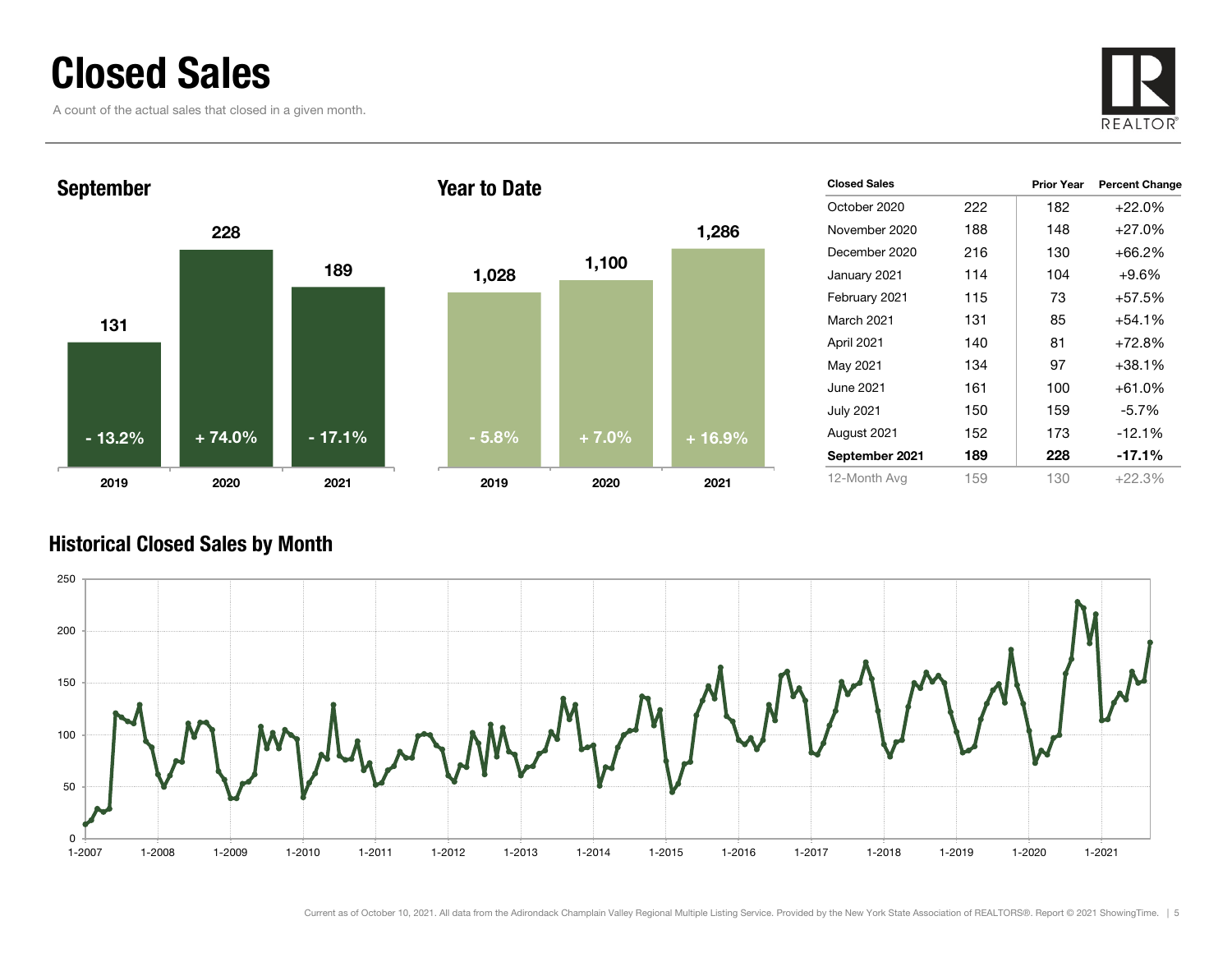### Closed Sales

A count of the actual sales that closed in a given month.





| <b>Closed Sales</b> |     | <b>Prior Year</b> | <b>Percent Change</b> |
|---------------------|-----|-------------------|-----------------------|
| October 2020        | 222 | 182               | $+22.0\%$             |
| November 2020       | 188 | 148               | $+27.0%$              |
| December 2020       | 216 | 130               | +66.2%                |
| January 2021        | 114 | 104               | $+9.6\%$              |
| February 2021       | 115 | 73                | +57.5%                |
| March 2021          | 131 | 85                | +54.1%                |
| April 2021          | 140 | 81                | +72.8%                |
| May 2021            | 134 | 97                | +38.1%                |
| June 2021           | 161 | 100               | +61.0%                |
| July 2021           | 150 | 159               | $-5.7%$               |
| August 2021         | 152 | 173               | $-12.1%$              |
| September 2021      | 189 | 228               | $-17.1%$              |
| 12-Month Avg        | 159 | 130               | $+22.3%$              |

#### Historical Closed Sales by Month

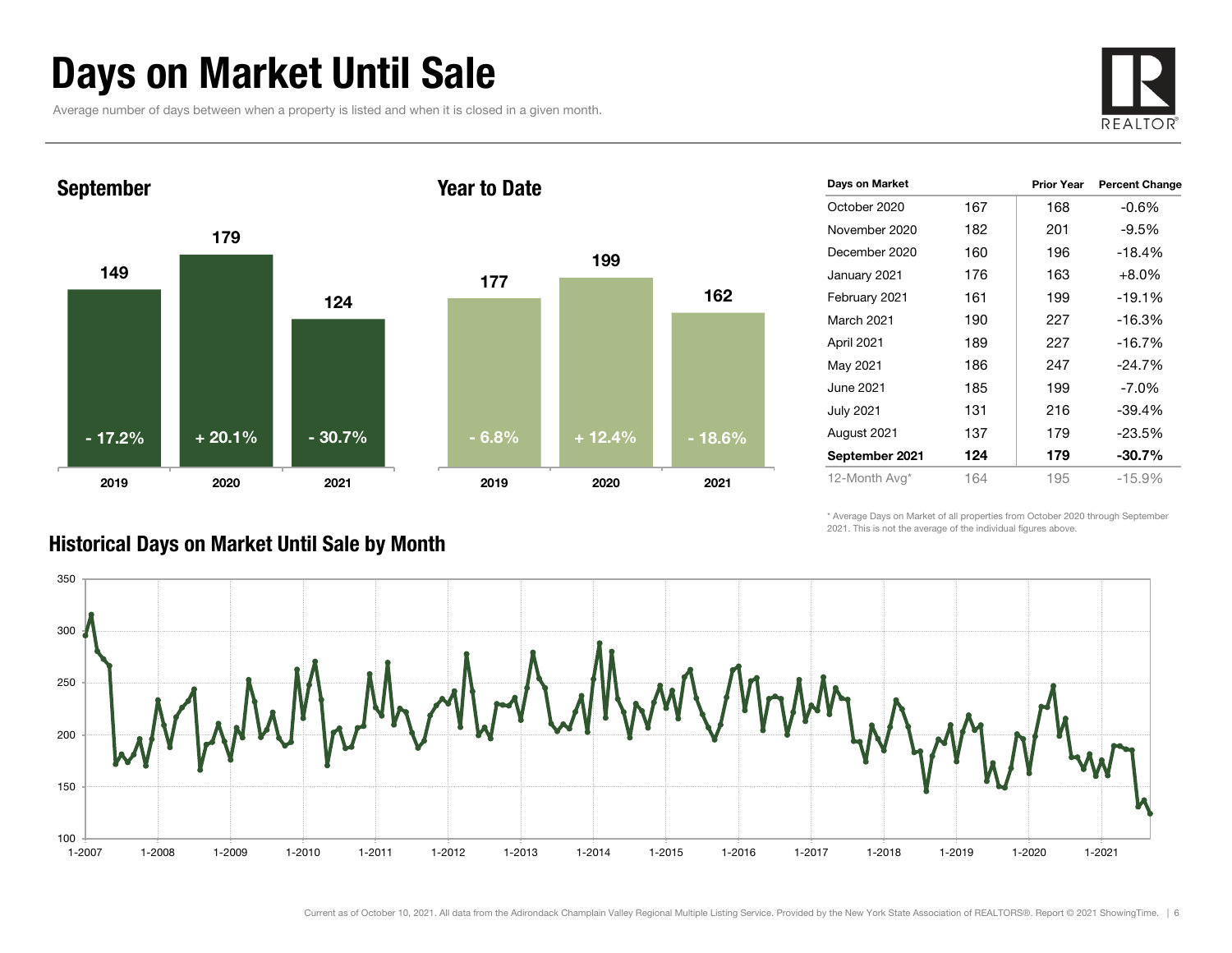### Days on Market Until Sale

Average number of days between when a property is listed and when it is closed in a given month.





| Days on Market    |     | <b>Prior Year</b> | <b>Percent Change</b> |
|-------------------|-----|-------------------|-----------------------|
| October 2020      | 167 | 168               | $-0.6%$               |
| November 2020     | 182 | 201               | $-9.5\%$              |
| December 2020     | 160 | 196               | $-18.4%$              |
| January 2021      | 176 | 163               | $+8.0\%$              |
| February 2021     | 161 | 199               | $-19.1%$              |
| <b>March 2021</b> | 190 | 227               | $-16.3%$              |
| April 2021        | 189 | 227               | $-16.7%$              |
| May 2021          | 186 | 247               | $-24.7%$              |
| June 2021         | 185 | 199               | $-7.0\%$              |
| <b>July 2021</b>  | 131 | 216               | $-39.4%$              |
| August 2021       | 137 | 179               | $-23.5%$              |
| September 2021    | 124 | 179               | $-30.7%$              |
| 12-Month Avg*     | 164 | 195               | $-15.9%$              |

\* Average Days on Market of all properties from October 2020 through September 2021. This is not the average of the individual figures above.



#### Historical Days on Market Until Sale by Month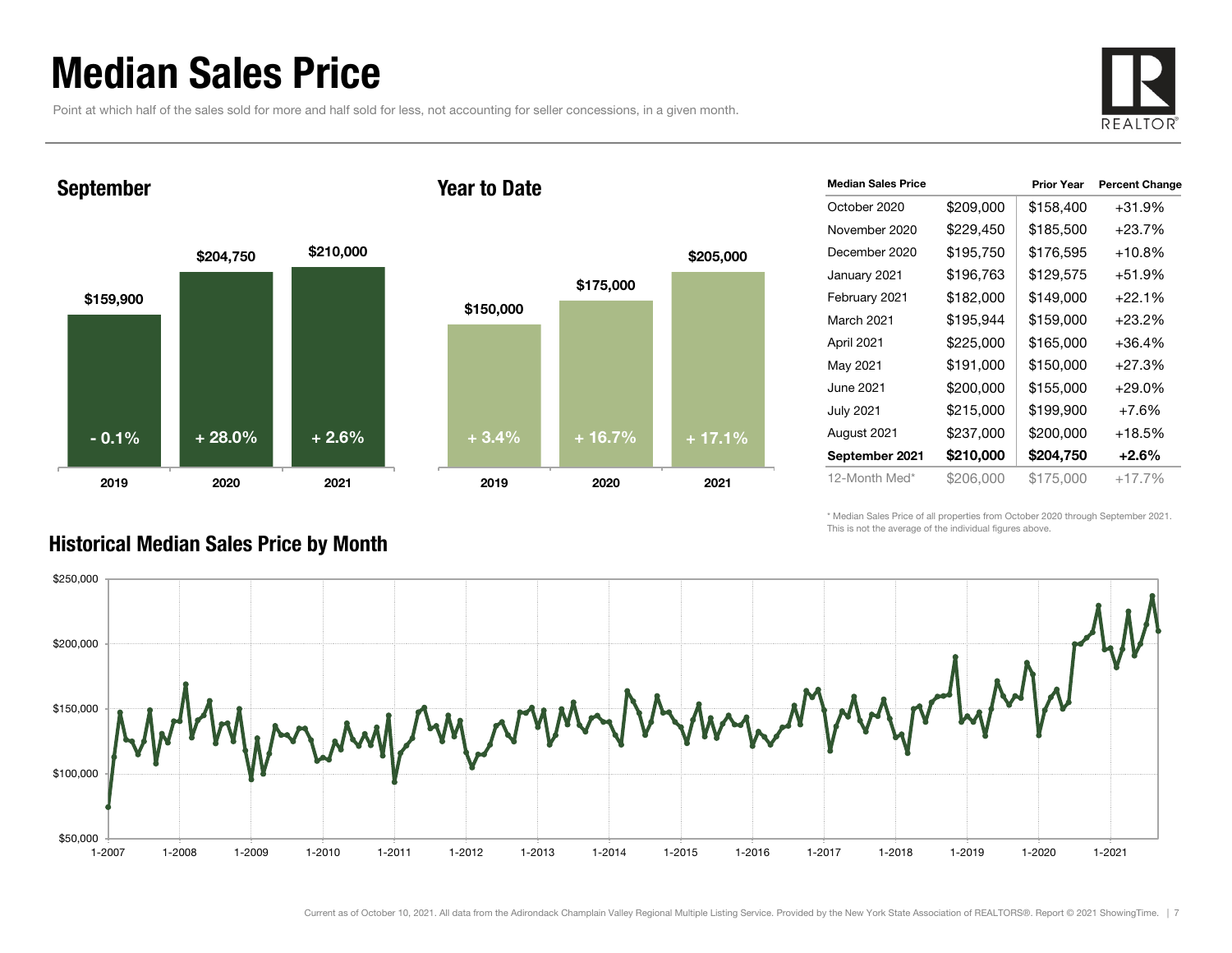### Median Sales Price

Point at which half of the sales sold for more and half sold for less, not accounting for seller concessions, in a given month.



#### September

#### Year to Date



| <b>Median Sales Price</b> |           | <b>Prior Year</b> | <b>Percent Change</b> |
|---------------------------|-----------|-------------------|-----------------------|
| October 2020              | \$209,000 | \$158,400         | +31.9%                |
| November 2020             | \$229,450 | \$185,500         | $+23.7%$              |
| December 2020             | \$195,750 | \$176,595         | $+10.8\%$             |
| January 2021              | \$196,763 | \$129,575         | +51.9%                |
| February 2021             | \$182,000 | \$149,000         | $+22.1%$              |
| March 2021                | \$195,944 | \$159,000         | +23.2%                |
| April 2021                | \$225,000 | \$165,000         | $+36.4%$              |
| May 2021                  | \$191,000 | \$150,000         | +27.3%                |
| June 2021                 | \$200,000 | \$155,000         | $+29.0\%$             |
| <b>July 2021</b>          | \$215,000 | \$199,900         | $+7.6%$               |
| August 2021               | \$237,000 | \$200,000         | $+18.5\%$             |
| September 2021            | \$210,000 | \$204,750         | $+2.6\%$              |
| 12-Month Med*             | \$206,000 | \$175,000         | $+17.7\%$             |
|                           |           |                   |                       |

\* Median Sales Price of all properties from October 2020 through September 2021. This is not the average of the individual figures above.



#### Historical Median Sales Price by Month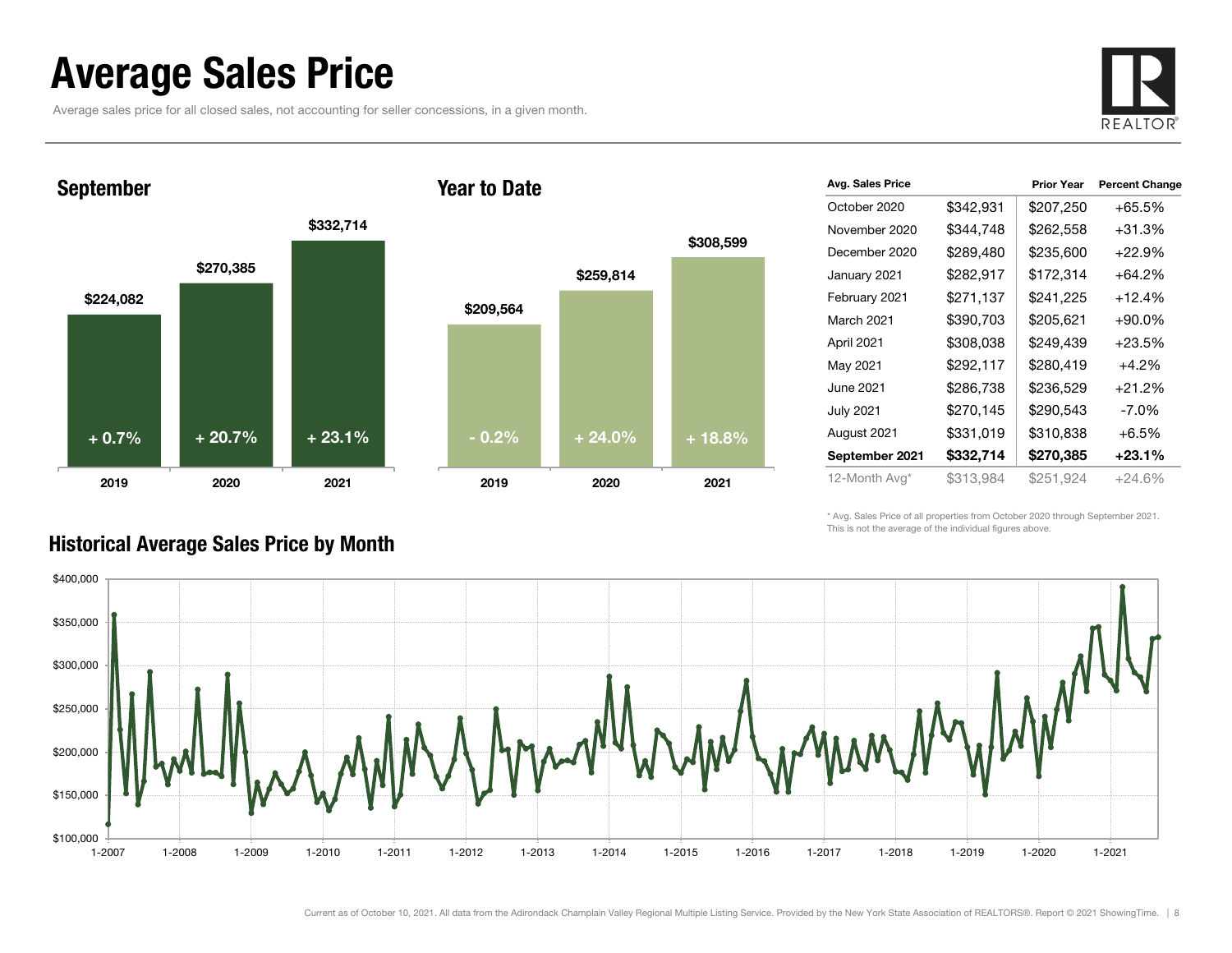### Average Sales Price

September

Average sales price for all closed sales, not accounting for seller concessions, in a given month.



\$224,082 \$270,385 \$332,714 2019 2020 2021 \$209,564 2019+ 0.7%

#### Year to Date



| Avg. Sales Price |           | <b>Prior Year</b> | <b>Percent Change</b> |
|------------------|-----------|-------------------|-----------------------|
| October 2020     | \$342,931 | \$207,250         | $+65.5%$              |
| November 2020    | \$344,748 | \$262,558         | $+31.3%$              |
| December 2020    | \$289,480 | \$235,600         | $+22.9%$              |
| January 2021     | \$282,917 | \$172,314         | $+64.2%$              |
| February 2021    | \$271,137 | \$241,225         | $+12.4%$              |
| March 2021       | \$390,703 | \$205,621         | $+90.0\%$             |
| April 2021       | \$308,038 | \$249,439         | $+23.5%$              |
| May 2021         | \$292,117 | \$280,419         | $+4.2%$               |
| June 2021        | \$286,738 | \$236,529         | $+21.2%$              |
| July 2021        | \$270,145 | \$290,543         | $-7.0\%$              |
| August 2021      | \$331,019 | \$310,838         | $+6.5%$               |
| September 2021   | \$332,714 | \$270,385         | $+23.1%$              |
| 12-Month Avg*    | \$313,984 | \$251,924         | +24.6%                |

\* Avg. Sales Price of all properties from October 2020 through September 2021. This is not the average of the individual figures above.



#### Historical Average Sales Price by Month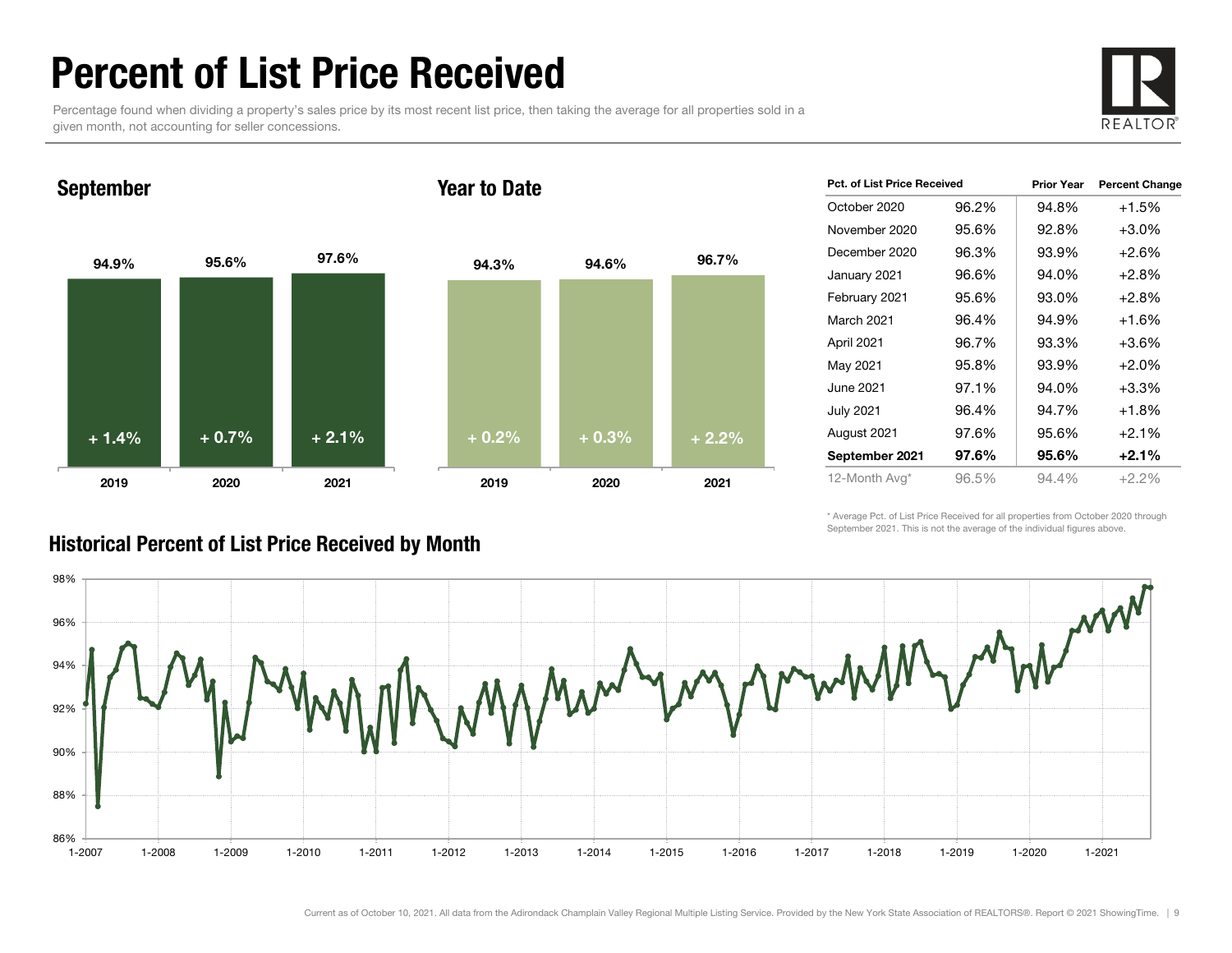### Percent of List Price Received

Percentage found when dividing a property's sales price by its most recent list price, then taking the average for all properties sold in a given month, not accounting for seller concessions.



September

#### Year to Date



| <b>Pct. of List Price Received</b> |       | <b>Prior Year</b> | <b>Percent Change</b> |
|------------------------------------|-------|-------------------|-----------------------|
| October 2020                       | 96.2% | 94.8%             | $+1.5%$               |
| November 2020                      | 95.6% | 92.8%             | $+3.0%$               |
| December 2020                      | 96.3% | 93.9%             | $+2.6%$               |
| January 2021                       | 96.6% | 94.0%             | $+2.8%$               |
| February 2021                      | 95.6% | 93.0%             | $+2.8%$               |
| March 2021                         | 96.4% | 94.9%             | $+1.6%$               |
| April 2021                         | 96.7% | 93.3%             | $+3.6%$               |
| May 2021                           | 95.8% | 93.9%             | $+2.0%$               |
| June 2021                          | 97.1% | 94.0%             | $+3.3%$               |
| <b>July 2021</b>                   | 96.4% | 94.7%             | $+1.8%$               |
| August 2021                        | 97.6% | 95.6%             | $+2.1%$               |
| September 2021                     | 97.6% | 95.6%             | $+2.1%$               |
| 12-Month Avg*                      | 96.5% | 94.4%             | $+2.2%$               |

\* Average Pct. of List Price Received for all properties from October 2020 through September 2021. This is not the average of the individual figures above.



#### Historical Percent of List Price Received by Month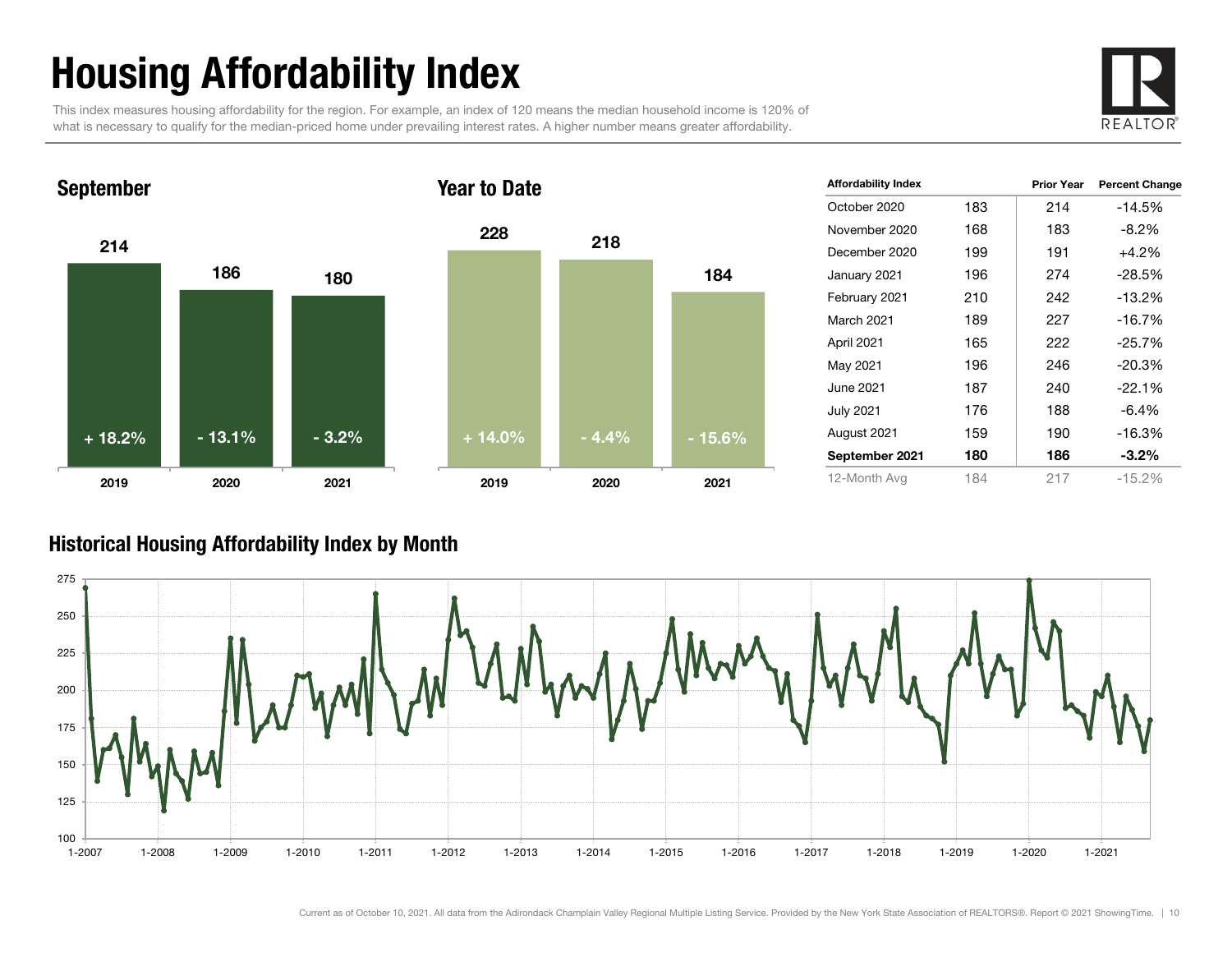# Housing Affordability Index

This index measures housing affordability for the region. For example, an index of 120 means the median household income is 120% of what is necessary to qualify for the median-priced home under prevailing interest rates. A higher number means greater affordability.





| <b>Affordability Index</b> |     | <b>Prior Year</b> | <b>Percent Change</b> |
|----------------------------|-----|-------------------|-----------------------|
| October 2020               | 183 | 214               | $-14.5%$              |
| November 2020              | 168 | 183               | $-8.2%$               |
| December 2020              | 199 | 191               | $+4.2\%$              |
| January 2021               | 196 | 274               | $-28.5%$              |
| February 2021              | 210 | 242               | -13.2%                |
| <b>March 2021</b>          | 189 | 227               | $-16.7%$              |
| April 2021                 | 165 | 222               | $-25.7%$              |
| May 2021                   | 196 | 246               | $-20.3%$              |
| June 2021                  | 187 | 240               | $-22.1%$              |
| July 2021                  | 176 | 188               | $-6.4%$               |
| August 2021                | 159 | 190               | -16.3%                |
| September 2021             | 180 | 186               | $-3.2\%$              |
| 12-Month Avg               | 184 | 217               | $-15.2%$              |

#### Historical Housing Affordability Index by Mont h

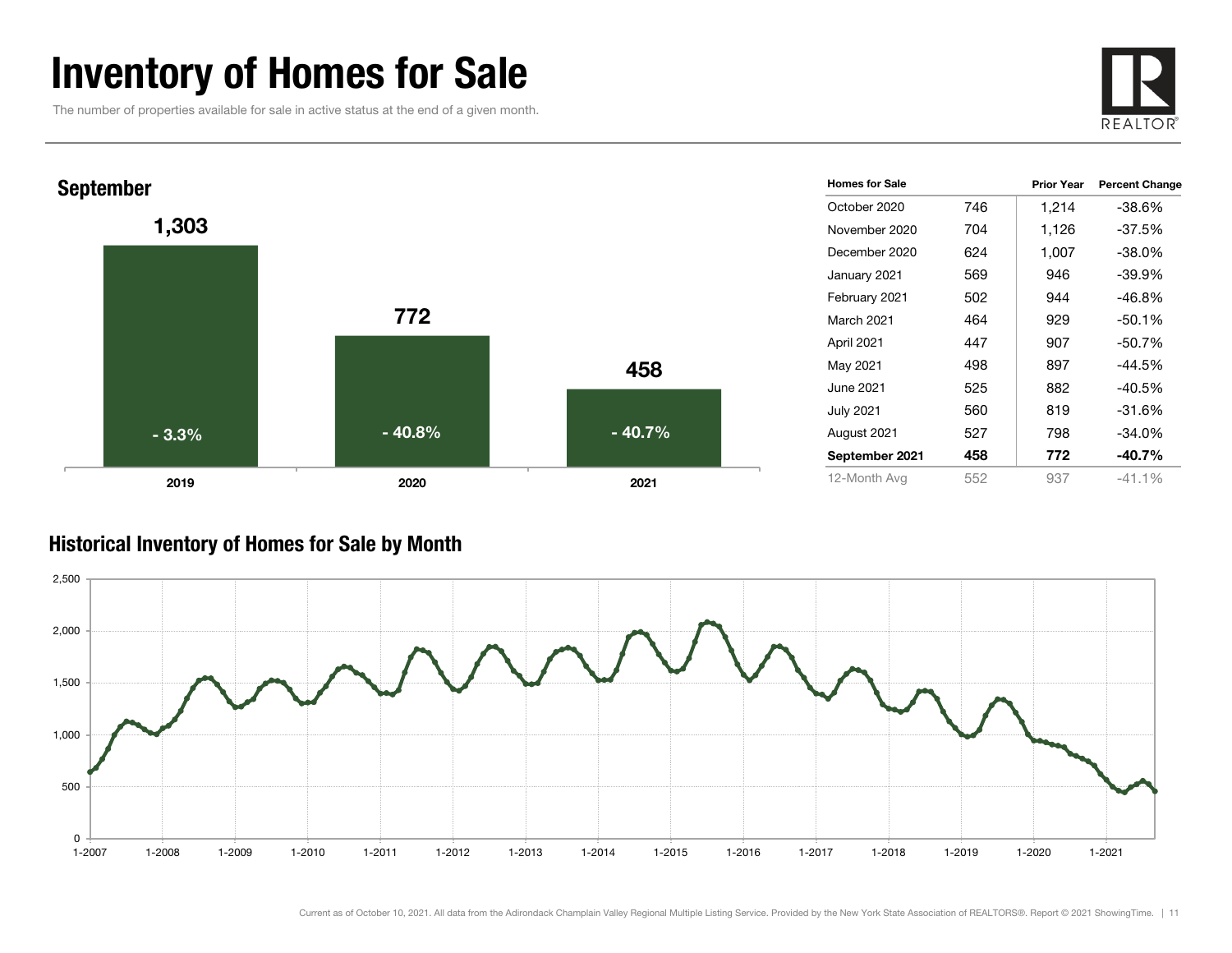### Inventory of Homes for Sale

The number of properties available for sale in active status at the end of a given month.





#### Historical Inventory of Homes for Sale by Month

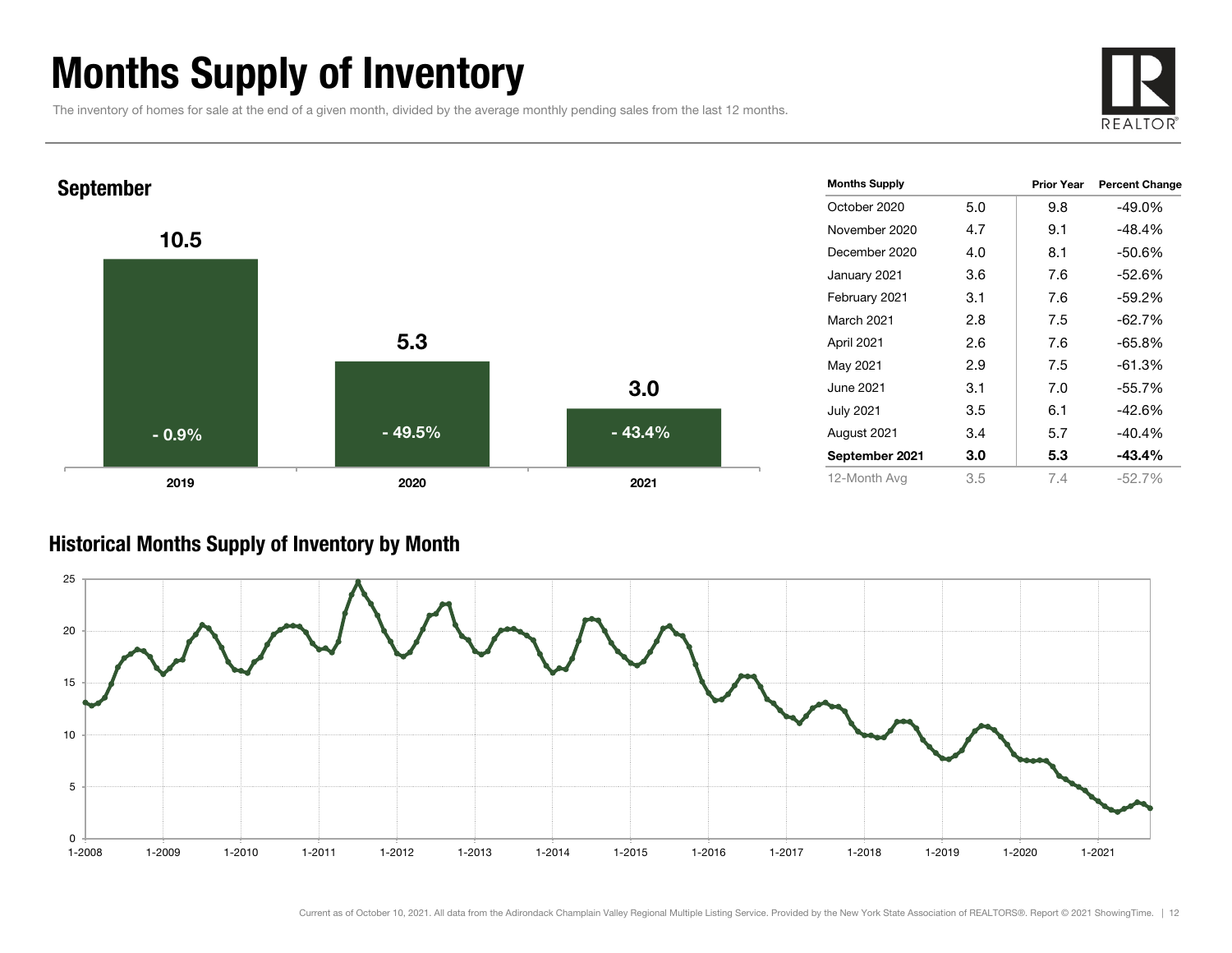### Months Supply of Inventory

The inventory of homes for sale at the end of a given month, divided by the average monthly pending sales from the last 12 months.





#### Historical Months Supply of Inventory by Month